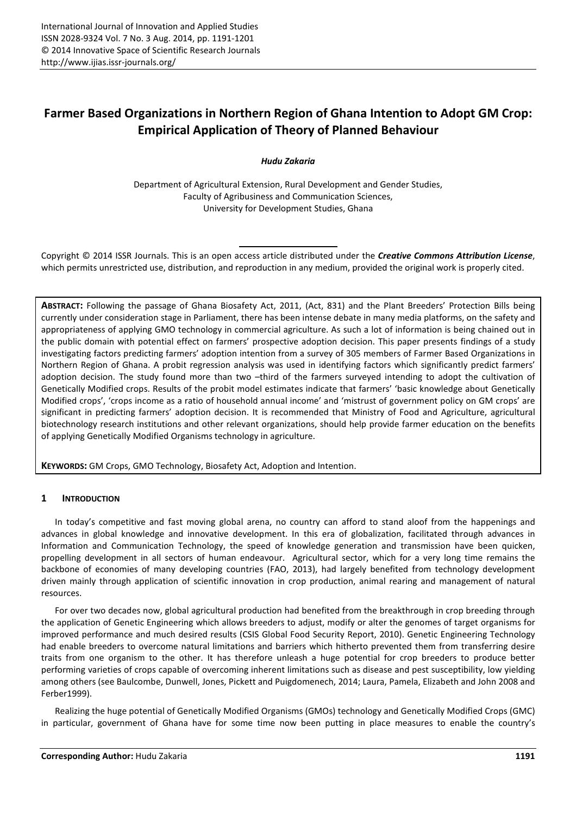# **Farmer Based Organizations in Northern Region of Ghana Intention to Adopt GM Crop: Empirical Application of Theory of Planned Behaviour**

*Hudu Zakaria* 

Department of Agricultural Extension, Rural Development and Gender Studies, Faculty of Agribusiness and Communication Sciences, University for Development Studies, Ghana

Copyright © 2014 ISSR Journals. This is an open access article distributed under the *Creative Commons Attribution License*, which permits unrestricted use, distribution, and reproduction in any medium, provided the original work is properly cited.

**ABSTRACT:** Following the passage of Ghana Biosafety Act, 2011, (Act, 831) and the Plant Breeders' Protection Bills being currently under consideration stage in Parliament, there has been intense debate in many media platforms, on the safety and appropriateness of applying GMO technology in commercial agriculture. As such a lot of information is being chained out in the public domain with potential effect on farmers' prospective adoption decision. This paper presents findings of a study investigating factors predicting farmers' adoption intention from a survey of 305 members of Farmer Based Organizations in Northern Region of Ghana. A probit regression analysis was used in identifying factors which significantly predict farmers' adoption decision. The study found more than two -third of the farmers surveyed intending to adopt the cultivation of Genetically Modified crops. Results of the probit model estimates indicate that farmers' 'basic knowledge about Genetically Modified crops', 'crops income as a ratio of household annual income' and 'mistrust of government policy on GM crops' are significant in predicting farmers' adoption decision. It is recommended that Ministry of Food and Agriculture, agricultural biotechnology research institutions and other relevant organizations, should help provide farmer education on the benefits of applying Genetically Modified Organisms technology in agriculture.

**KEYWORDS:** GM Crops, GMO Technology, Biosafety Act, Adoption and Intention.

# **1 INTRODUCTION**

In today's competitive and fast moving global arena, no country can afford to stand aloof from the happenings and advances in global knowledge and innovative development. In this era of globalization, facilitated through advances in Information and Communication Technology, the speed of knowledge generation and transmission have been quicken, propelling development in all sectors of human endeavour. Agricultural sector, which for a very long time remains the backbone of economies of many developing countries (FAO, 2013), had largely benefited from technology development driven mainly through application of scientific innovation in crop production, animal rearing and management of natural resources.

For over two decades now, global agricultural production had benefited from the breakthrough in crop breeding through the application of Genetic Engineering which allows breeders to adjust, modify or alter the genomes of target organisms for improved performance and much desired results (CSIS Global Food Security Report, 2010). Genetic Engineering Technology had enable breeders to overcome natural limitations and barriers which hitherto prevented them from transferring desire traits from one organism to the other. It has therefore unleash a huge potential for crop breeders to produce better performing varieties of crops capable of overcoming inherent limitations such as disease and pest susceptibility, low yielding among others (see Baulcombe, Dunwell, Jones, Pickett and Puigdomenech, 2014; Laura, Pamela, Elizabeth and John 2008 and Ferber1999).

Realizing the huge potential of Genetically Modified Organisms (GMOs) technology and Genetically Modified Crops (GMC) in particular, government of Ghana have for some time now been putting in place measures to enable the country's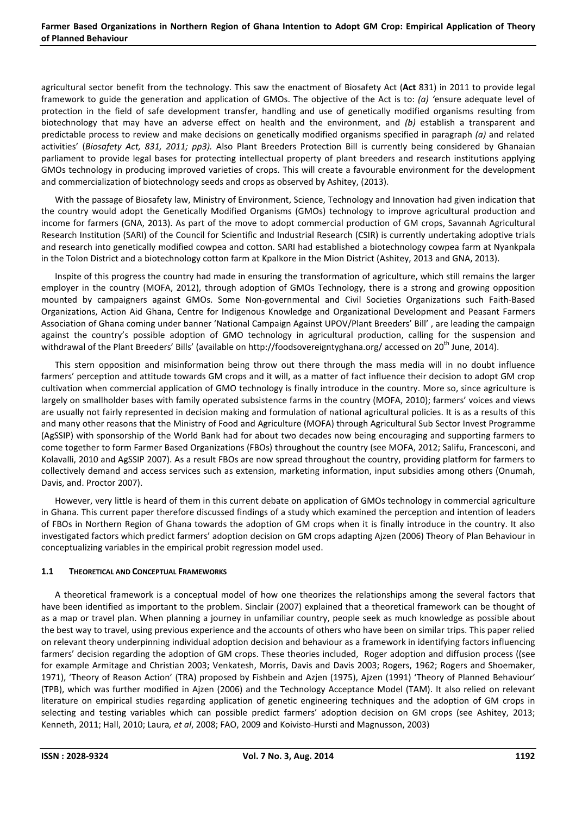# **Farmer Based Organizations in Northern Region of Ghana Intention to Adopt GM Crop: Empirical Application of Theory of Planned Behaviour**

agricultural sector benefit from the technology. This saw the enactment of Biosafety Act (**Act** 831) in 2011 to provide legal framework to guide the generation and application of GMOs. The objective of the Act is to: *(a) '*ensure adequate level of protection in the field of safe development transfer, handling and use of genetically modified organisms resulting from biotechnology that may have an adverse effect on health and the environment, and *(b)* establish a transparent and predictable process to review and make decisions on genetically modified organisms specified in paragraph *(a)* and related activities' (*Biosafety Act, 831, 2011; pp3).* Also Plant Breeders Protection Bill is currently being considered by Ghanaian parliament to provide legal bases for protecting intellectual property of plant breeders and research institutions applying GMOs technology in producing improved varieties of crops. This will create a favourable environment for the development and commercialization of biotechnology seeds and crops as observed by Ashitey, (2013).

With the passage of Biosafety law, Ministry of Environment, Science, Technology and Innovation had given indication that the country would adopt the Genetically Modified Organisms (GMOs) technology to improve agricultural production and income for farmers (GNA, 2013). As part of the move to adopt commercial production of GM crops, Savannah Agricultural Research Institution (SARI) of the Council for Scientific and Industrial Research (CSIR) is currently undertaking adoptive trials and research into genetically modified cowpea and cotton. SARI had established a biotechnology cowpea farm at Nyankpala in the Tolon District and a biotechnology cotton farm at Kpalkore in the Mion District (Ashitey, 2013 and GNA, 2013).

Inspite of this progress the country had made in ensuring the transformation of agriculture, which still remains the larger employer in the country (MOFA, 2012), through adoption of GMOs Technology, there is a strong and growing opposition mounted by campaigners against GMOs. Some Non-governmental and Civil Societies Organizations such Faith-Based Organizations, Action Aid Ghana, Centre for Indigenous Knowledge and Organizational Development and Peasant Farmers Association of Ghana coming under banner 'National Campaign Against UPOV/Plant Breeders' Bill' , are leading the campaign against the country's possible adoption of GMO technology in agricultural production, calling for the suspension and withdrawal of the Plant Breeders' Bills' (available on http://foodsovereigntyghana.org/ accessed on 20<sup>th</sup> June, 2014).

This stern opposition and misinformation being throw out there through the mass media will in no doubt influence farmers' perception and attitude towards GM crops and it will, as a matter of fact influence their decision to adopt GM crop cultivation when commercial application of GMO technology is finally introduce in the country. More so, since agriculture is largely on smallholder bases with family operated subsistence farms in the country (MOFA, 2010); farmers' voices and views are usually not fairly represented in decision making and formulation of national agricultural policies. It is as a results of this and many other reasons that the Ministry of Food and Agriculture (MOFA) through Agricultural Sub Sector Invest Programme (AgSSIP) with sponsorship of the World Bank had for about two decades now being encouraging and supporting farmers to come together to form Farmer Based Organizations (FBOs) throughout the country (see MOFA, 2012; Salifu, Francesconi, and Kolavalli, 2010 and AgSSIP 2007). As a result FBOs are now spread throughout the country, providing platform for farmers to collectively demand and access services such as extension, marketing information, input subsidies among others (Onumah, Davis, and. Proctor 2007).

However, very little is heard of them in this current debate on application of GMOs technology in commercial agriculture in Ghana. This current paper therefore discussed findings of a study which examined the perception and intention of leaders of FBOs in Northern Region of Ghana towards the adoption of GM crops when it is finally introduce in the country. It also investigated factors which predict farmers' adoption decision on GM crops adapting Ajzen (2006) Theory of Plan Behaviour in conceptualizing variables in the empirical probit regression model used.

# **1.1 THEORETICAL AND CONCEPTUAL FRAMEWORKS**

A theoretical framework is a conceptual model of how one theorizes the relationships among the several factors that have been identified as important to the problem. Sinclair (2007) explained that a theoretical framework can be thought of as a map or travel plan. When planning a journey in unfamiliar country, people seek as much knowledge as possible about the best way to travel, using previous experience and the accounts of others who have been on similar trips. This paper relied on relevant theory underpinning individual adoption decision and behaviour as a framework in identifying factors influencing farmers' decision regarding the adoption of GM crops. These theories included, Roger adoption and diffusion process ((see for example Armitage and Christian 2003; Venkatesh, Morris, Davis and Davis 2003; Rogers, 1962; Rogers and Shoemaker, 1971), 'Theory of Reason Action' (TRA) proposed by Fishbein and Azjen (1975), Ajzen (1991) 'Theory of Planned Behaviour' (TPB), which was further modified in Ajzen (2006) and the Technology Acceptance Model (TAM). It also relied on relevant literature on empirical studies regarding application of genetic engineering techniques and the adoption of GM crops in selecting and testing variables which can possible predict farmers' adoption decision on GM crops (see Ashitey, 2013; Kenneth, 2011; Hall, 2010; Laura*, et al*, 2008; FAO, 2009 and Koivisto-Hursti and Magnusson, 2003)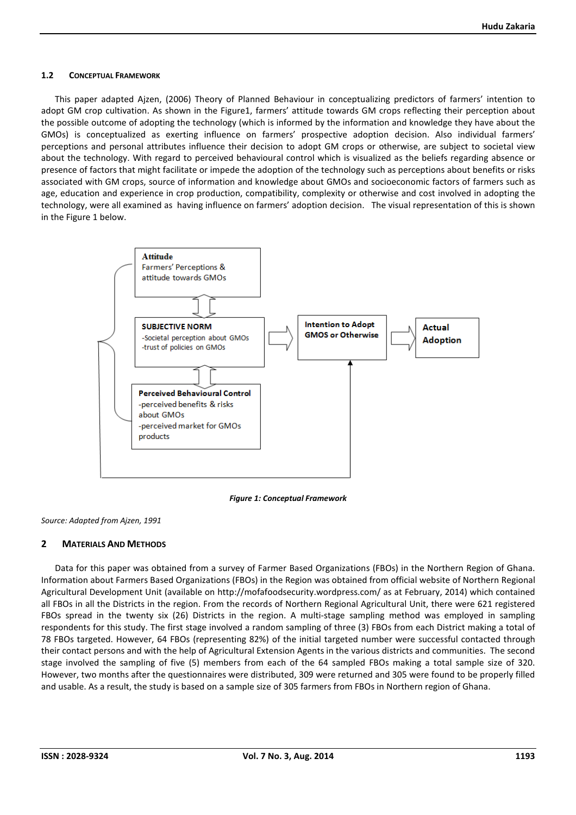# **1.2 CONCEPTUAL FRAMEWORK**

This paper adapted Ajzen, (2006) Theory of Planned Behaviour in conceptualizing predictors of farmers' intention to adopt GM crop cultivation. As shown in the Figure1, farmers' attitude towards GM crops reflecting their perception about the possible outcome of adopting the technology (which is informed by the information and knowledge they have about the GMOs) is conceptualized as exerting influence on farmers' prospective adoption decision. Also individual farmers' perceptions and personal attributes influence their decision to adopt GM crops or otherwise, are subject to societal view about the technology. With regard to perceived behavioural control which is visualized as the beliefs regarding absence or presence of factors that might facilitate or impede the adoption of the technology such as perceptions about benefits or risks associated with GM crops, source of information and knowledge about GMOs and socioeconomic factors of farmers such as age, education and experience in crop production, compatibility, complexity or otherwise and cost involved in adopting the technology, were all examined as having influence on farmers' adoption decision. The visual representation of this is shown in the Figure 1 below.



*Figure 1: Conceptual Framework* 

*Source: Adapted from Ajzen, 1991* 

# **2 MATERIALS AND METHODS**

Data for this paper was obtained from a survey of Farmer Based Organizations (FBOs) in the Northern Region of Ghana. Information about Farmers Based Organizations (FBOs) in the Region was obtained from official website of Northern Regional Agricultural Development Unit (available on http://mofafoodsecurity.wordpress.com/ as at February, 2014) which contained all FBOs in all the Districts in the region. From the records of Northern Regional Agricultural Unit, there were 621 registered FBOs spread in the twenty six (26) Districts in the region. A multi-stage sampling method was employed in sampling respondents for this study. The first stage involved a random sampling of three (3) FBOs from each District making a total of 78 FBOs targeted. However, 64 FBOs (representing 82%) of the initial targeted number were successful contacted through their contact persons and with the help of Agricultural Extension Agents in the various districts and communities. The second stage involved the sampling of five (5) members from each of the 64 sampled FBOs making a total sample size of 320. However, two months after the questionnaires were distributed, 309 were returned and 305 were found to be properly filled and usable. As a result, the study is based on a sample size of 305 farmers from FBOs in Northern region of Ghana.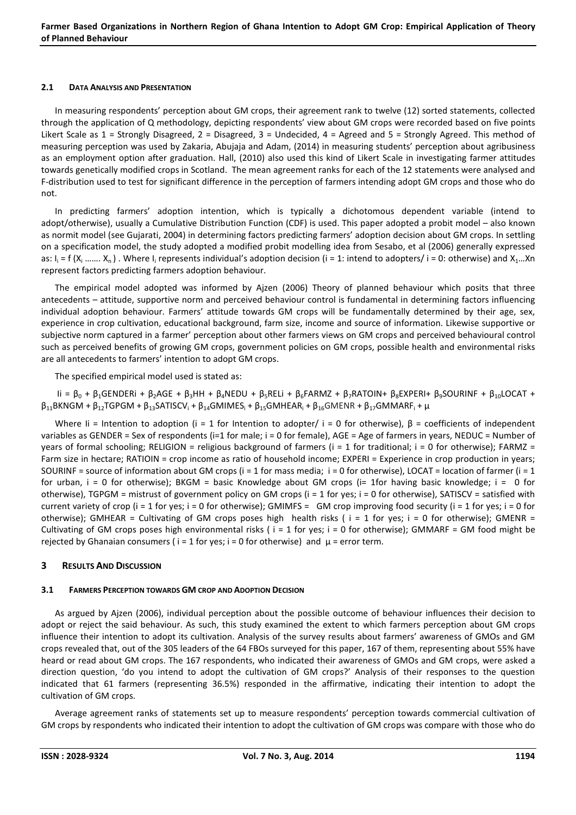#### **2.1 DATA ANALYSIS AND PRESENTATION**

In measuring respondents' perception about GM crops, their agreement rank to twelve (12) sorted statements, collected through the application of Q methodology, depicting respondents' view about GM crops were recorded based on five points Likert Scale as 1 = Strongly Disagreed, 2 = Disagreed, 3 = Undecided, 4 = Agreed and 5 = Strongly Agreed. This method of measuring perception was used by Zakaria, Abujaja and Adam, (2014) in measuring students' perception about agribusiness as an employment option after graduation. Hall, (2010) also used this kind of Likert Scale in investigating farmer attitudes towards genetically modified crops in Scotland. The mean agreement ranks for each of the 12 statements were analysed and F-distribution used to test for significant difference in the perception of farmers intending adopt GM crops and those who do not.

In predicting farmers' adoption intention, which is typically a dichotomous dependent variable (intend to adopt/otherwise), usually a Cumulative Distribution Function (CDF) is used. This paper adopted a probit model – also known as normit model (see Gujarati, 2004) in determining factors predicting farmers' adoption decision about GM crops. In settling on a specification model, the study adopted a modified probit modelling idea from Sesabo, et al (2006) generally expressed as:  $I_i = f(X_i, \ldots, X_n)$ . Where  $I_i$  represents individual's adoption decision (i = 1: intend to adopters/ i = 0: otherwise) and  $X_1...X_n$ represent factors predicting farmers adoption behaviour.

The empirical model adopted was informed by Ajzen (2006) Theory of planned behaviour which posits that three antecedents – attitude, supportive norm and perceived behaviour control is fundamental in determining factors influencing individual adoption behaviour. Farmers' attitude towards GM crops will be fundamentally determined by their age, sex, experience in crop cultivation, educational background, farm size, income and source of information. Likewise supportive or subjective norm captured in a farmer' perception about other farmers views on GM crops and perceived behavioural control such as perceived benefits of growing GM crops, government policies on GM crops, possible health and environmental risks are all antecedents to farmers' intention to adopt GM crops.

The specified empirical model used is stated as:

 $I$ i = β<sub>0</sub> + β<sub>1</sub>GENDERi + β<sub>2</sub>AGE + β<sub>3</sub>HH + β<sub>4</sub>NEDU + β<sub>5</sub>RELi + β<sub>6</sub>FARMZ + β<sub>7</sub>RATOIN+ β<sub>8</sub>EXPERI+ β<sub>9</sub>SOURINF + β<sub>10</sub>LOCAT +  $\beta_{11}$ BKNGM +  $\beta_{12}$ TGPGM +  $\beta_{13}$ SATISCV<sub>i</sub> +  $\beta_{14}$ GMIMES<sub>i</sub> +  $\beta_{15}$ GMHEAR<sub>i</sub> +  $\beta_{16}$ GMENR +  $\beta_{17}$ GMMARF<sub>i</sub> +  $\mu$ 

Where Ii = Intention to adoption (i = 1 for Intention to adopter/ i = 0 for otherwise),  $\beta$  = coefficients of independent variables as GENDER = Sex of respondents (i=1 for male; i = 0 for female), AGE = Age of farmers in years, NEDUC = Number of years of formal schooling; RELIGION = religious background of farmers ( $i = 1$  for traditional;  $i = 0$  for otherwise); FARMZ = Farm size in hectare; RATIOIN = crop income as ratio of household income; EXPERI = Experience in crop production in years; SOURINF = source of information about GM crops ( $i = 1$  for mass media;  $i = 0$  for otherwise), LOCAT = location of farmer ( $i = 1$ for urban,  $i = 0$  for otherwise); BKGM = basic Knowledge about GM crops ( $i = 1$  for having basic knowledge;  $i = 0$  for otherwise), TGPGM = mistrust of government policy on GM crops  $(i = 1$  for yes;  $i = 0$  for otherwise), SATISCV = satisfied with current variety of crop (i = 1 for yes; i = 0 for otherwise); GMIMFS = GM crop improving food security (i = 1 for yes; i = 0 for otherwise); GMHEAR = Cultivating of GM crops poses high health risks ( $i = 1$  for yes;  $i = 0$  for otherwise); GMENR = Cultivating of GM crops poses high environmental risks ( $i = 1$  for yes;  $i = 0$  for otherwise); GMMARF = GM food might be rejected by Ghanaian consumers ( $i = 1$  for yes;  $i = 0$  for otherwise) and  $\mu$  = error term.

# **3 RESULTS AND DISCUSSION**

# **3.1 FARMERS PERCEPTION TOWARDS GM CROP AND ADOPTION DECISION**

As argued by Ajzen (2006), individual perception about the possible outcome of behaviour influences their decision to adopt or reject the said behaviour. As such, this study examined the extent to which farmers perception about GM crops influence their intention to adopt its cultivation. Analysis of the survey results about farmers' awareness of GMOs and GM crops revealed that, out of the 305 leaders of the 64 FBOs surveyed for this paper, 167 of them, representing about 55% have heard or read about GM crops. The 167 respondents, who indicated their awareness of GMOs and GM crops, were asked a direction question, 'do you intend to adopt the cultivation of GM crops?' Analysis of their responses to the question indicated that 61 farmers (representing 36.5%) responded in the affirmative, indicating their intention to adopt the cultivation of GM crops.

Average agreement ranks of statements set up to measure respondents' perception towards commercial cultivation of GM crops by respondents who indicated their intention to adopt the cultivation of GM crops was compare with those who do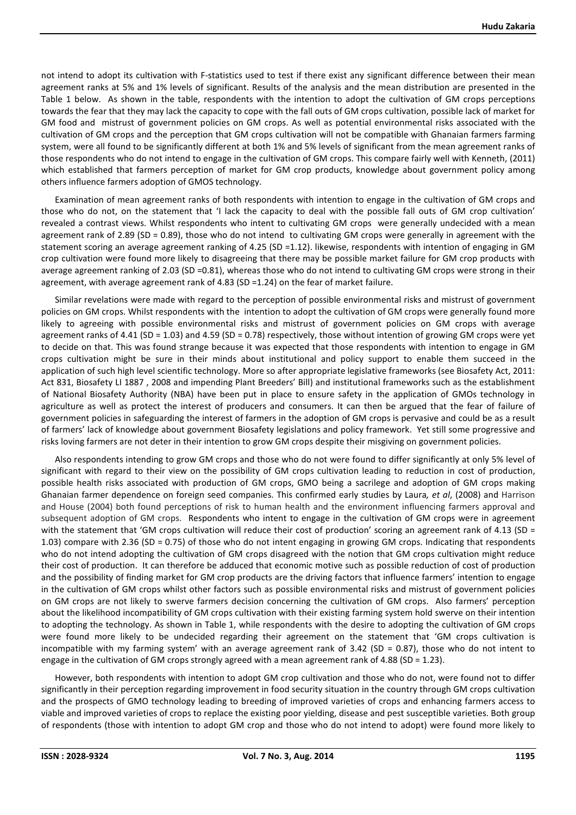not intend to adopt its cultivation with F-statistics used to test if there exist any significant difference between their mean agreement ranks at 5% and 1% levels of significant. Results of the analysis and the mean distribution are presented in the Table 1 below. As shown in the table, respondents with the intention to adopt the cultivation of GM crops perceptions towards the fear that they may lack the capacity to cope with the fall outs of GM crops cultivation, possible lack of market for GM food and mistrust of government policies on GM crops. As well as potential environmental risks associated with the cultivation of GM crops and the perception that GM crops cultivation will not be compatible with Ghanaian farmers farming system, were all found to be significantly different at both 1% and 5% levels of significant from the mean agreement ranks of those respondents who do not intend to engage in the cultivation of GM crops. This compare fairly well with Kenneth, (2011) which established that farmers perception of market for GM crop products, knowledge about government policy among others influence farmers adoption of GMOS technology.

Examination of mean agreement ranks of both respondents with intention to engage in the cultivation of GM crops and those who do not, on the statement that 'I lack the capacity to deal with the possible fall outs of GM crop cultivation' revealed a contrast views. Whilst respondents who intent to cultivating GM crops were generally undecided with a mean agreement rank of 2.89 (SD = 0.89), those who do not intend to cultivating GM crops were generally in agreement with the statement scoring an average agreement ranking of 4.25 (SD =1.12). likewise, respondents with intention of engaging in GM crop cultivation were found more likely to disagreeing that there may be possible market failure for GM crop products with average agreement ranking of 2.03 (SD =0.81), whereas those who do not intend to cultivating GM crops were strong in their agreement, with average agreement rank of 4.83 (SD =1.24) on the fear of market failure.

Similar revelations were made with regard to the perception of possible environmental risks and mistrust of government policies on GM crops. Whilst respondents with the intention to adopt the cultivation of GM crops were generally found more likely to agreeing with possible environmental risks and mistrust of government policies on GM crops with average agreement ranks of 4.41 (SD = 1.03) and 4.59 (SD = 0.78) respectively, those without intention of growing GM crops were yet to decide on that. This was found strange because it was expected that those respondents with intention to engage in GM crops cultivation might be sure in their minds about institutional and policy support to enable them succeed in the application of such high level scientific technology. More so after appropriate legislative frameworks (see Biosafety Act, 2011: Act 831, Biosafety LI 1887 , 2008 and impending Plant Breeders' Bill) and institutional frameworks such as the establishment of National Biosafety Authority (NBA) have been put in place to ensure safety in the application of GMOs technology in agriculture as well as protect the interest of producers and consumers. It can then be argued that the fear of failure of government policies in safeguarding the interest of farmers in the adoption of GM crops is pervasive and could be as a result of farmers' lack of knowledge about government Biosafety legislations and policy framework. Yet still some progressive and risks loving farmers are not deter in their intention to grow GM crops despite their misgiving on government policies.

Also respondents intending to grow GM crops and those who do not were found to differ significantly at only 5% level of significant with regard to their view on the possibility of GM crops cultivation leading to reduction in cost of production, possible health risks associated with production of GM crops, GMO being a sacrilege and adoption of GM crops making Ghanaian farmer dependence on foreign seed companies. This confirmed early studies by Laura*, et al*, (2008) and Harrison and House (2004) both found perceptions of risk to human health and the environment influencing farmers approval and subsequent adoption of GM crops. Respondents who intent to engage in the cultivation of GM crops were in agreement with the statement that 'GM crops cultivation will reduce their cost of production' scoring an agreement rank of 4.13 (SD = 1.03) compare with 2.36 (SD = 0.75) of those who do not intent engaging in growing GM crops. Indicating that respondents who do not intend adopting the cultivation of GM crops disagreed with the notion that GM crops cultivation might reduce their cost of production. It can therefore be adduced that economic motive such as possible reduction of cost of production and the possibility of finding market for GM crop products are the driving factors that influence farmers' intention to engage in the cultivation of GM crops whilst other factors such as possible environmental risks and mistrust of government policies on GM crops are not likely to swerve farmers decision concerning the cultivation of GM crops. Also farmers' perception about the likelihood incompatibility of GM crops cultivation with their existing farming system hold swerve on their intention to adopting the technology. As shown in Table 1, while respondents with the desire to adopting the cultivation of GM crops were found more likely to be undecided regarding their agreement on the statement that 'GM crops cultivation is incompatible with my farming system' with an average agreement rank of  $3.42$  (SD = 0.87), those who do not intent to engage in the cultivation of GM crops strongly agreed with a mean agreement rank of 4.88 (SD = 1.23).

However, both respondents with intention to adopt GM crop cultivation and those who do not, were found not to differ significantly in their perception regarding improvement in food security situation in the country through GM crops cultivation and the prospects of GMO technology leading to breeding of improved varieties of crops and enhancing farmers access to viable and improved varieties of crops to replace the existing poor yielding, disease and pest susceptible varieties. Both group of respondents (those with intention to adopt GM crop and those who do not intend to adopt) were found more likely to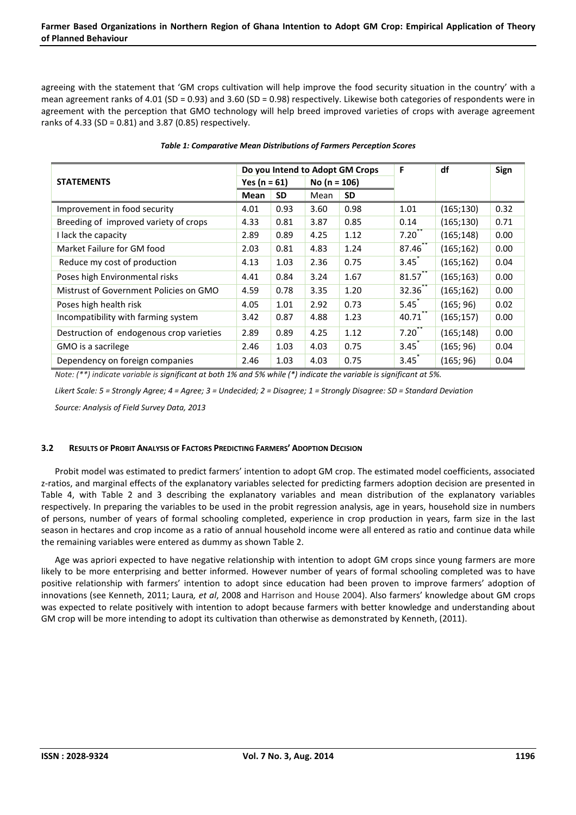agreeing with the statement that 'GM crops cultivation will help improve the food security situation in the country' with a mean agreement ranks of 4.01 (SD = 0.93) and 3.60 (SD = 0.98) respectively. Likewise both categories of respondents were in agreement with the perception that GMO technology will help breed improved varieties of crops with average agreement ranks of 4.33 (SD = 0.81) and 3.87 (0.85) respectively.

|                                          | Do you Intend to Adopt GM Crops |           |                  |           | F                   | df         | Sign |
|------------------------------------------|---------------------------------|-----------|------------------|-----------|---------------------|------------|------|
| <b>STATEMENTS</b>                        | Yes ( $n = 61$ )                |           | No ( $n = 106$ ) |           |                     |            |      |
|                                          | Mean                            | <b>SD</b> | Mean             | <b>SD</b> |                     |            |      |
| Improvement in food security             | 4.01                            | 0.93      | 3.60             | 0.98      | 1.01                | (165;130)  | 0.32 |
| Breeding of improved variety of crops    | 4.33                            | 0.81      | 3.87             | 0.85      | 0.14                | (165;130)  | 0.71 |
| I lack the capacity                      | 2.89                            | 0.89      | 4.25             | 1.12      | 7.20                | (165; 148) | 0.00 |
| Market Failure for GM food               | 2.03                            | 0.81      | 4.83             | 1.24      | $87.46$ **          | (165;162)  | 0.00 |
| Reduce my cost of production             | 4.13                            | 1.03      | 2.36             | 0.75      | 3.45                | (165;162)  | 0.04 |
| Poses high Environmental risks           | 4.41                            | 0.84      | 3.24             | 1.67      | 81.57               | (165;163)  | 0.00 |
| Mistrust of Government Policies on GMO   | 4.59                            | 0.78      | 3.35             | 1.20      | 32.36               | (165;162)  | 0.00 |
| Poses high health risk                   | 4.05                            | 1.01      | 2.92             | 0.73      | 5.45                | (165; 96)  | 0.02 |
| Incompatibility with farming system      | 3.42                            | 0.87      | 4.88             | 1.23      | 40.71               | (165;157)  | 0.00 |
| Destruction of endogenous crop varieties | 2.89                            | 0.89      | 4.25             | 1.12      | $7.20^{**}$         | (165;148)  | 0.00 |
| GMO is a sacrilege                       | 2.46                            | 1.03      | 4.03             | 0.75      | $3.45$ <sup>*</sup> | (165; 96)  | 0.04 |
| Dependency on foreign companies          | 2.46                            | 1.03      | 4.03             | 0.75      | $3.45$ <sup>*</sup> | (165; 96)  | 0.04 |

#### *Table 1: Comparative Mean Distributions of Farmers Perception Scores*

*Note: (\*\*) indicate variable is significant at both 1% and 5% while (\*) indicate the variable is significant at 5%.* 

*Likert Scale: 5 = Strongly Agree; 4 = Agree; 3 = Undecided; 2 = Disagree; 1 = Strongly Disagree: SD = Standard Deviation Source: Analysis of Field Survey Data, 2013* 

# **3.2 RESULTS OF PROBIT ANALYSIS OF FACTORS PREDICTING FARMERS' ADOPTION DECISION**

Probit model was estimated to predict farmers' intention to adopt GM crop. The estimated model coefficients, associated z-ratios, and marginal effects of the explanatory variables selected for predicting farmers adoption decision are presented in Table 4, with Table 2 and 3 describing the explanatory variables and mean distribution of the explanatory variables respectively. In preparing the variables to be used in the probit regression analysis, age in years, household size in numbers of persons, number of years of formal schooling completed, experience in crop production in years, farm size in the last season in hectares and crop income as a ratio of annual household income were all entered as ratio and continue data while the remaining variables were entered as dummy as shown Table 2.

Age was apriori expected to have negative relationship with intention to adopt GM crops since young farmers are more likely to be more enterprising and better informed. However number of years of formal schooling completed was to have positive relationship with farmers' intention to adopt since education had been proven to improve farmers' adoption of innovations (see Kenneth, 2011; Laura*, et al*, 2008 and Harrison and House 2004). Also farmers' knowledge about GM crops was expected to relate positively with intention to adopt because farmers with better knowledge and understanding about GM crop will be more intending to adopt its cultivation than otherwise as demonstrated by Kenneth, (2011).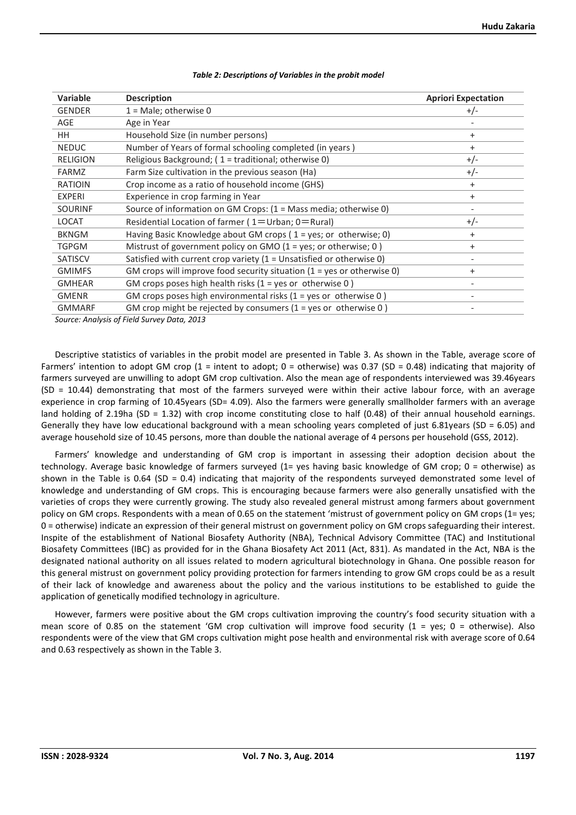| Variable        | <b>Description</b>                                                                        | <b>Apriori Expectation</b> |
|-----------------|-------------------------------------------------------------------------------------------|----------------------------|
| <b>GENDER</b>   | $1 =$ Male; otherwise 0                                                                   | $+/-$                      |
| AGE             | Age in Year                                                                               |                            |
| HH.             | Household Size (in number persons)                                                        | $\ddot{}$                  |
| <b>NEDUC</b>    | Number of Years of formal schooling completed (in years)                                  | $\ddot{}$                  |
| <b>RELIGION</b> | Religious Background; (1 = traditional; otherwise 0)                                      | $+/-$                      |
| <b>FARMZ</b>    | Farm Size cultivation in the previous season (Ha)                                         | $+/-$                      |
| <b>RATIOIN</b>  | Crop income as a ratio of household income (GHS)                                          | $\ddot{}$                  |
| <b>EXPERI</b>   | Experience in crop farming in Year                                                        | $\ddot{}$                  |
| <b>SOURINF</b>  | Source of information on GM Crops: $(1 = Mass media; otherwise 0)$                        |                            |
| <b>LOCAT</b>    | Residential Location of farmer (1=Urban; 0=Rural)                                         | $+/-$                      |
| <b>BKNGM</b>    | Having Basic Knowledge about GM crops ( $1 = yes$ ; or otherwise; 0)                      | $\ddot{}$                  |
| <b>TGPGM</b>    | Mistrust of government policy on GMO ( $1 = yes$ ; or otherwise; 0)                       | $\ddot{}$                  |
| <b>SATISCV</b>  | Satisfied with current crop variety ( $1 =$ Unsatisfied or otherwise 0)                   | $\qquad \qquad -$          |
| <b>GMIMFS</b>   | GM crops will improve food security situation $(1 = yes \text{ or } otherwise \text{ 0})$ | $\ddot{}$                  |
| <b>GMHEAR</b>   | GM crops poses high health risks $(1 = yes \text{ or } otherwise \text{ 0})$              |                            |
| <b>GMENR</b>    | GM crops poses high environmental risks ( $1 = yes$ or otherwise 0)                       |                            |
| <b>GMMARF</b>   | GM crop might be rejected by consumers $(1 = yes \text{ or } otherwise \text{ 0})$        |                            |

#### *Table 2: Descriptions of Variables in the probit model*

*Source: Analysis of Field Survey Data, 2013* 

Descriptive statistics of variables in the probit model are presented in Table 3. As shown in the Table, average score of Farmers' intention to adopt GM crop (1 = intent to adopt; 0 = otherwise) was 0.37 (SD = 0.48) indicating that majority of farmers surveyed are unwilling to adopt GM crop cultivation. Also the mean age of respondents interviewed was 39.46years (SD = 10.44) demonstrating that most of the farmers surveyed were within their active labour force, with an average experience in crop farming of 10.45years (SD= 4.09). Also the farmers were generally smallholder farmers with an average land holding of 2.19ha (SD = 1.32) with crop income constituting close to half (0.48) of their annual household earnings. Generally they have low educational background with a mean schooling years completed of just 6.81years (SD = 6.05) and average household size of 10.45 persons, more than double the national average of 4 persons per household (GSS, 2012).

Farmers' knowledge and understanding of GM crop is important in assessing their adoption decision about the technology. Average basic knowledge of farmers surveyed (1= yes having basic knowledge of GM crop; 0 = otherwise) as shown in the Table is 0.64 (SD = 0.4) indicating that majority of the respondents surveyed demonstrated some level of knowledge and understanding of GM crops. This is encouraging because farmers were also generally unsatisfied with the varieties of crops they were currently growing. The study also revealed general mistrust among farmers about government policy on GM crops. Respondents with a mean of 0.65 on the statement 'mistrust of government policy on GM crops (1= yes; 0 = otherwise) indicate an expression of their general mistrust on government policy on GM crops safeguarding their interest. Inspite of the establishment of National Biosafety Authority (NBA), Technical Advisory Committee (TAC) and Institutional Biosafety Committees (IBC) as provided for in the Ghana Biosafety Act 2011 (Act, 831). As mandated in the Act, NBA is the designated national authority on all issues related to modern agricultural biotechnology in Ghana. One possible reason for this general mistrust on government policy providing protection for farmers intending to grow GM crops could be as a result of their lack of knowledge and awareness about the policy and the various institutions to be established to guide the application of genetically modified technology in agriculture.

However, farmers were positive about the GM crops cultivation improving the country's food security situation with a mean score of 0.85 on the statement 'GM crop cultivation will improve food security ( $1 = yes$ ; 0 = otherwise). Also respondents were of the view that GM crops cultivation might pose health and environmental risk with average score of 0.64 and 0.63 respectively as shown in the Table 3.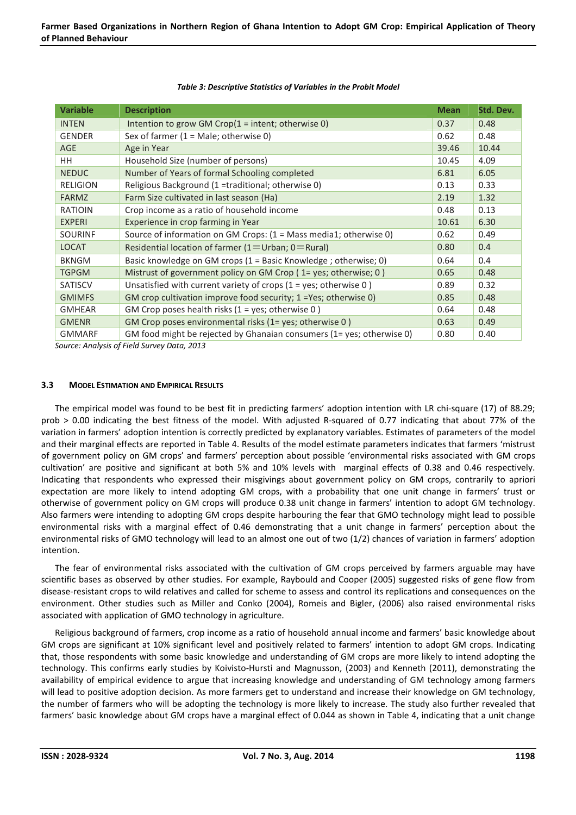| <b>Variable</b> | <b>Description</b>                                                                                                                              | <b>Mean</b> | Std. Dev. |
|-----------------|-------------------------------------------------------------------------------------------------------------------------------------------------|-------------|-----------|
| <b>INTEN</b>    | Intention to grow GM Crop $(1 =$ intent; otherwise 0)                                                                                           | 0.37        | 0.48      |
| <b>GENDER</b>   | Sex of farmer $(1 = Male; otherwise 0)$                                                                                                         | 0.62        | 0.48      |
| <b>AGE</b>      | Age in Year                                                                                                                                     | 39.46       | 10.44     |
| HH.             | Household Size (number of persons)                                                                                                              | 10.45       | 4.09      |
| <b>NEDUC</b>    | Number of Years of formal Schooling completed                                                                                                   | 6.81        | 6.05      |
| <b>RELIGION</b> | Religious Background (1 =traditional; otherwise 0)                                                                                              | 0.13        | 0.33      |
| <b>FARMZ</b>    | Farm Size cultivated in last season (Ha)                                                                                                        | 2.19        | 1.32      |
| <b>RATIOIN</b>  | Crop income as a ratio of household income                                                                                                      | 0.48        | 0.13      |
| <b>EXPERI</b>   | Experience in crop farming in Year                                                                                                              | 10.61       | 6.30      |
| <b>SOURINF</b>  | Source of information on GM Crops: $(1 = Mass media1; otherwise 0)$                                                                             | 0.62        | 0.49      |
| <b>LOCAT</b>    | Residential location of farmer (1=Urban; 0=Rural)                                                                                               | 0.80        | 0.4       |
| <b>BKNGM</b>    | Basic knowledge on GM crops $(1 = Basic Knowledge; otherwise; 0)$                                                                               | 0.64        | 0.4       |
| <b>TGPGM</b>    | Mistrust of government policy on GM Crop ( $1 = yes$ ; otherwise; 0)                                                                            | 0.65        | 0.48      |
| <b>SATISCV</b>  | Unsatisfied with current variety of crops $(1 = yes;$ otherwise 0)                                                                              | 0.89        | 0.32      |
| <b>GMIMFS</b>   | GM crop cultivation improve food security; 1 = Yes; otherwise 0)                                                                                | 0.85        | 0.48      |
| <b>GMHEAR</b>   | GM Crop poses health risks $(1 = yes; otherwise 0)$                                                                                             | 0.64        | 0.48      |
| <b>GMENR</b>    | GM Crop poses environmental risks (1= yes; otherwise 0)                                                                                         | 0.63        | 0.49      |
| <b>GMMARF</b>   | GM food might be rejected by Ghanaian consumers (1= yes; otherwise 0)<br>$\ldots$ . A set of state of $E$ is the following $D \cup L$ . And $D$ | 0.80        | 0.40      |

#### *Table 3: Descriptive Statistics of Variables in the Probit Model*

*Source: Analysis of Field Survey Data, 2013* 

# **3.3 MODEL ESTIMATION AND EMPIRICAL RESULTS**

The empirical model was found to be best fit in predicting farmers' adoption intention with LR chi-square (17) of 88.29; prob > 0.00 indicating the best fitness of the model. With adjusted R-squared of 0.77 indicating that about 77% of the variation in farmers' adoption intention is correctly predicted by explanatory variables. Estimates of parameters of the model and their marginal effects are reported in Table 4. Results of the model estimate parameters indicates that farmers 'mistrust of government policy on GM crops' and farmers' perception about possible 'environmental risks associated with GM crops cultivation' are positive and significant at both 5% and 10% levels with marginal effects of 0.38 and 0.46 respectively. Indicating that respondents who expressed their misgivings about government policy on GM crops, contrarily to apriori expectation are more likely to intend adopting GM crops, with a probability that one unit change in farmers' trust or otherwise of government policy on GM crops will produce 0.38 unit change in farmers' intention to adopt GM technology. Also farmers were intending to adopting GM crops despite harbouring the fear that GMO technology might lead to possible environmental risks with a marginal effect of 0.46 demonstrating that a unit change in farmers' perception about the environmental risks of GMO technology will lead to an almost one out of two (1/2) chances of variation in farmers' adoption intention.

The fear of environmental risks associated with the cultivation of GM crops perceived by farmers arguable may have scientific bases as observed by other studies. For example, Raybould and Cooper (2005) suggested risks of gene flow from disease-resistant crops to wild relatives and called for scheme to assess and control its replications and consequences on the environment. Other studies such as Miller and Conko (2004), Romeis and Bigler, (2006) also raised environmental risks associated with application of GMO technology in agriculture.

Religious background of farmers, crop income as a ratio of household annual income and farmers' basic knowledge about GM crops are significant at 10% significant level and positively related to farmers' intention to adopt GM crops. Indicating that, those respondents with some basic knowledge and understanding of GM crops are more likely to intend adopting the technology. This confirms early studies by Koivisto-Hursti and Magnusson, (2003) and Kenneth (2011), demonstrating the availability of empirical evidence to argue that increasing knowledge and understanding of GM technology among farmers will lead to positive adoption decision. As more farmers get to understand and increase their knowledge on GM technology, the number of farmers who will be adopting the technology is more likely to increase. The study also further revealed that farmers' basic knowledge about GM crops have a marginal effect of 0.044 as shown in Table 4, indicating that a unit change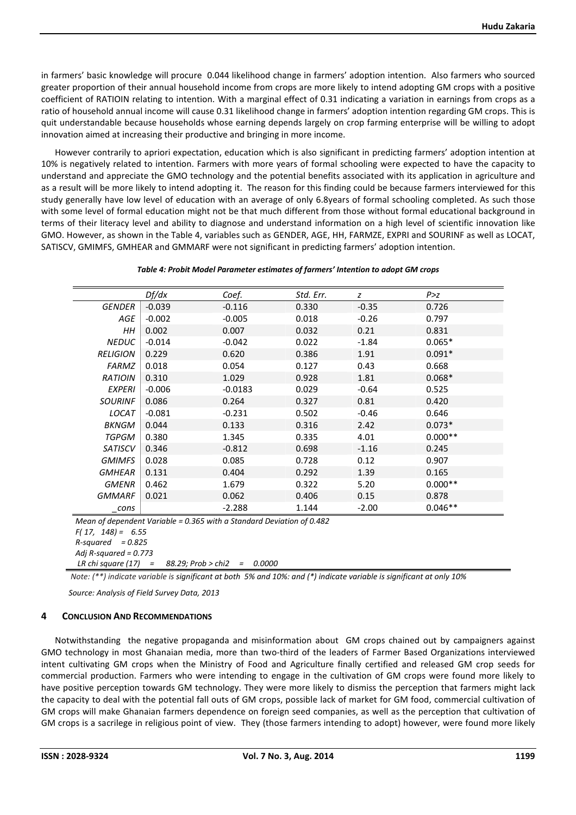in farmers' basic knowledge will procure 0.044 likelihood change in farmers' adoption intention. Also farmers who sourced greater proportion of their annual household income from crops are more likely to intend adopting GM crops with a positive coefficient of RATIOIN relating to intention. With a marginal effect of 0.31 indicating a variation in earnings from crops as a ratio of household annual income will cause 0.31 likelihood change in farmers' adoption intention regarding GM crops. This is quit understandable because households whose earning depends largely on crop farming enterprise will be willing to adopt innovation aimed at increasing their productive and bringing in more income.

However contrarily to apriori expectation, education which is also significant in predicting farmers' adoption intention at 10% is negatively related to intention. Farmers with more years of formal schooling were expected to have the capacity to understand and appreciate the GMO technology and the potential benefits associated with its application in agriculture and as a result will be more likely to intend adopting it. The reason for this finding could be because farmers interviewed for this study generally have low level of education with an average of only 6.8years of formal schooling completed. As such those with some level of formal education might not be that much different from those without formal educational background in terms of their literacy level and ability to diagnose and understand information on a high level of scientific innovation like GMO. However, as shown in the Table 4, variables such as GENDER, AGE, HH, FARMZE, EXPRI and SOURINF as well as LOCAT, SATISCV, GMIMFS, GMHEAR and GMMARF were not significant in predicting farmers' adoption intention.

| Table 4: Probit Model Parameter estimates of farmers' Intention to adopt GM crops |  |
|-----------------------------------------------------------------------------------|--|
|                                                                                   |  |

|                 | Df/dx    | Coef.     | Std. Err. | z       | P > z     |
|-----------------|----------|-----------|-----------|---------|-----------|
| <b>GENDER</b>   | $-0.039$ | $-0.116$  | 0.330     | $-0.35$ | 0.726     |
| <b>AGE</b>      | $-0.002$ | $-0.005$  | 0.018     | $-0.26$ | 0.797     |
| HН              | 0.002    | 0.007     | 0.032     | 0.21    | 0.831     |
| <b>NEDUC</b>    | $-0.014$ | $-0.042$  | 0.022     | $-1.84$ | $0.065*$  |
| <b>RELIGION</b> | 0.229    | 0.620     | 0.386     | 1.91    | $0.091*$  |
| <b>FARMZ</b>    | 0.018    | 0.054     | 0.127     | 0.43    | 0.668     |
| <b>RATIOIN</b>  | 0.310    | 1.029     | 0.928     | 1.81    | $0.068*$  |
| <b>EXPERI</b>   | $-0.006$ | $-0.0183$ | 0.029     | $-0.64$ | 0.525     |
| <b>SOURINF</b>  | 0.086    | 0.264     | 0.327     | 0.81    | 0.420     |
| <b>LOCAT</b>    | $-0.081$ | $-0.231$  | 0.502     | $-0.46$ | 0.646     |
| <b>BKNGM</b>    | 0.044    | 0.133     | 0.316     | 2.42    | $0.073*$  |
| <b>TGPGM</b>    | 0.380    | 1.345     | 0.335     | 4.01    | $0.000**$ |
| <b>SATISCV</b>  | 0.346    | $-0.812$  | 0.698     | $-1.16$ | 0.245     |
| <b>GMIMFS</b>   | 0.028    | 0.085     | 0.728     | 0.12    | 0.907     |
| <b>GMHEAR</b>   | 0.131    | 0.404     | 0.292     | 1.39    | 0.165     |
| <b>GMENR</b>    | 0.462    | 1.679     | 0.322     | 5.20    | $0.000**$ |
| <b>GMMARF</b>   | 0.021    | 0.062     | 0.406     | 0.15    | 0.878     |
| cons            |          | $-2.288$  | 1.144     | $-2.00$ | $0.046**$ |

*Mean of dependent Variable = 0.365 with a Standard Deviation of 0.482* 

*F( 17, 148) = 6.55* 

*R-squared = 0.825* 

*Adj R-squared = 0.773 LR chi square (17) = 88.29; Prob > chi2 = 0.0000* 

*Note: (\*\*) indicate variable is significant at both 5% and 10%: and (\*) indicate variable is significant at only 10%* 

*Source: Analysis of Field Survey Data, 2013* 

# **4 CONCLUSION AND RECOMMENDATIONS**

Notwithstanding the negative propaganda and misinformation about GM crops chained out by campaigners against GMO technology in most Ghanaian media, more than two-third of the leaders of Farmer Based Organizations interviewed intent cultivating GM crops when the Ministry of Food and Agriculture finally certified and released GM crop seeds for commercial production. Farmers who were intending to engage in the cultivation of GM crops were found more likely to have positive perception towards GM technology. They were more likely to dismiss the perception that farmers might lack the capacity to deal with the potential fall outs of GM crops, possible lack of market for GM food, commercial cultivation of GM crops will make Ghanaian farmers dependence on foreign seed companies, as well as the perception that cultivation of GM crops is a sacrilege in religious point of view. They (those farmers intending to adopt) however, were found more likely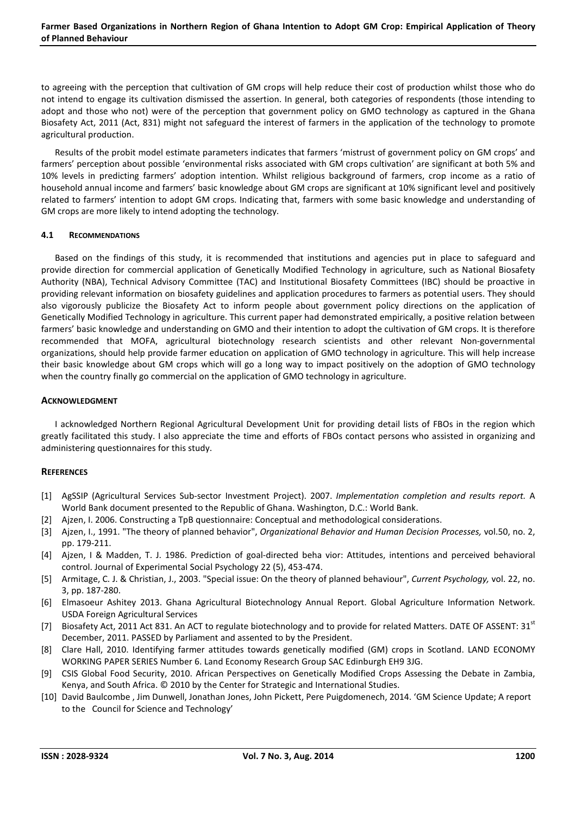to agreeing with the perception that cultivation of GM crops will help reduce their cost of production whilst those who do not intend to engage its cultivation dismissed the assertion. In general, both categories of respondents (those intending to adopt and those who not) were of the perception that government policy on GMO technology as captured in the Ghana Biosafety Act, 2011 (Act, 831) might not safeguard the interest of farmers in the application of the technology to promote agricultural production.

Results of the probit model estimate parameters indicates that farmers 'mistrust of government policy on GM crops' and farmers' perception about possible 'environmental risks associated with GM crops cultivation' are significant at both 5% and 10% levels in predicting farmers' adoption intention. Whilst religious background of farmers, crop income as a ratio of household annual income and farmers' basic knowledge about GM crops are significant at 10% significant level and positively related to farmers' intention to adopt GM crops. Indicating that, farmers with some basic knowledge and understanding of GM crops are more likely to intend adopting the technology.

# **4.1 RECOMMENDATIONS**

Based on the findings of this study, it is recommended that institutions and agencies put in place to safeguard and provide direction for commercial application of Genetically Modified Technology in agriculture, such as National Biosafety Authority (NBA), Technical Advisory Committee (TAC) and Institutional Biosafety Committees (IBC) should be proactive in providing relevant information on biosafety guidelines and application procedures to farmers as potential users. They should also vigorously publicize the Biosafety Act to inform people about government policy directions on the application of Genetically Modified Technology in agriculture. This current paper had demonstrated empirically, a positive relation between farmers' basic knowledge and understanding on GMO and their intention to adopt the cultivation of GM crops. It is therefore recommended that MOFA, agricultural biotechnology research scientists and other relevant Non-governmental organizations, should help provide farmer education on application of GMO technology in agriculture. This will help increase their basic knowledge about GM crops which will go a long way to impact positively on the adoption of GMO technology when the country finally go commercial on the application of GMO technology in agriculture.

# **ACKNOWLEDGMENT**

I acknowledged Northern Regional Agricultural Development Unit for providing detail lists of FBOs in the region which greatly facilitated this study. I also appreciate the time and efforts of FBOs contact persons who assisted in organizing and administering questionnaires for this study.

# **REFERENCES**

- [1] AgSSIP (Agricultural Services Sub-sector Investment Project). 2007. *Implementation completion and results report.* A World Bank document presented to the Republic of Ghana. Washington, D.C.: World Bank.
- [2] Ajzen, I. 2006. Constructing a TpB questionnaire: Conceptual and methodological considerations.
- [3] Ajzen, I., 1991. "The theory of planned behavior", *Organizational Behavior and Human Decision Processes,* vol.50, no. 2, pp. 179-211.
- [4] Ajzen, I & Madden, T. J. 1986. Prediction of goal-directed beha vior: Attitudes, intentions and perceived behavioral control. Journal of Experimental Social Psychology 22 (5), 453-474.
- [5] Armitage, C. J. & Christian, J., 2003. "Special issue: On the theory of planned behaviour", *Current Psychology,* vol. 22, no. 3, pp. 187-280.
- [6] Elmasoeur Ashitey 2013. Ghana Agricultural Biotechnology Annual Report. Global Agriculture Information Network. USDA Foreign Agricultural Services
- [7] Biosafety Act, 2011 Act 831. An ACT to regulate biotechnology and to provide for related Matters. DATE OF ASSENT: 31<sup>st</sup> December, 2011. PASSED by Parliament and assented to by the President.
- [8] Clare Hall, 2010. Identifying farmer attitudes towards genetically modified (GM) crops in Scotland. LAND ECONOMY WORKING PAPER SERIES Number 6. Land Economy Research Group SAC Edinburgh EH9 3JG.
- [9] CSIS Global Food Security, 2010. African Perspectives on Genetically Modified Crops Assessing the Debate in Zambia, Kenya, and South Africa. © 2010 by the Center for Strategic and International Studies.
- [10] David Baulcombe , Jim Dunwell, Jonathan Jones, John Pickett, Pere Puigdomenech, 2014. 'GM Science Update; A report to the Council for Science and Technology'